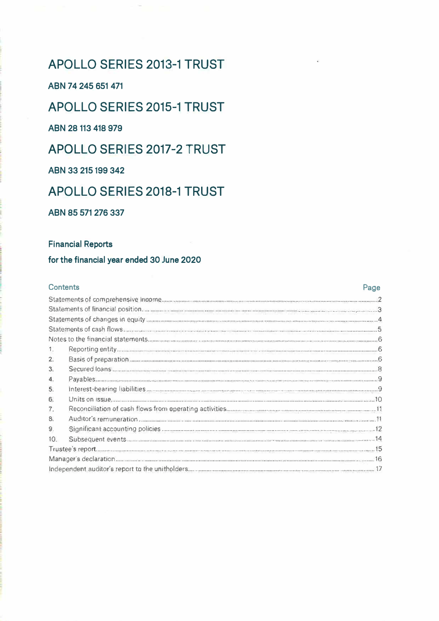## **APOLLO SERIES 2013-1 TRUST**

ABN 74 245 651 471

APOLLO SERIES 2015-1 TRUST

ARN 28 113 418 979

**APOLLO SERIES 2017-2 TRUST** 

ARN 33 215 199 342

## APOLLO SERIES 2018-1 TRUST

ABN 85 571 276 337

### **Financial Reports**

### for the financial vear ended 30 June 2020

#### **Contents** Page  $1.$  $2.$  $3.$ 4.  $5.$ 6  $\overline{7}$ .  $\mathbf{R}$  $\mathbf{Q}$  $10.$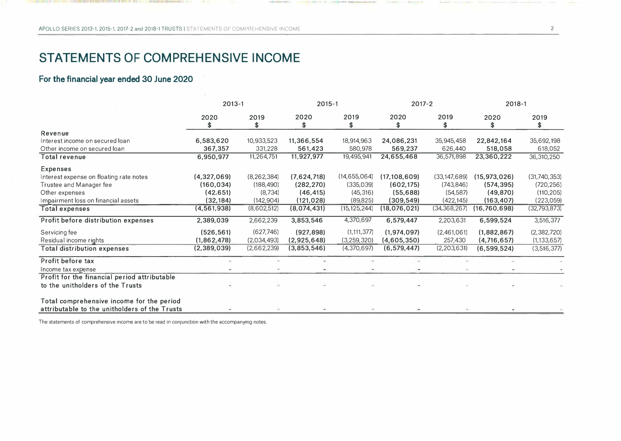## **STATEMENTS OF COMPREHENSIVE INCOME**

## **For the financial year ended 30 June 2020**

|                                               |               | $2013 - 1$    |             | $2015 - 1$     |                | $2017 - 2$     |                | $2018 - 1$    |  |
|-----------------------------------------------|---------------|---------------|-------------|----------------|----------------|----------------|----------------|---------------|--|
|                                               | 2020<br>£.    | 2019<br>\$    | 2020<br>\$  | 2019<br>\$     | 2020<br>\$.    | 2019<br>\$     | 2020<br>S      | 2019<br>\$    |  |
| Revenue                                       |               |               |             |                |                |                |                |               |  |
| Interest income on secured loan               | 6,583,620     | 10,933,523    | 11,366,554  | 18,914,963     | 24,086,231     | 35,945,458     | 22,842,164     | 35,692,198    |  |
| Other income on secured loan                  | 367,357       | 331,228       | 561,423     | 580,978        | 569,237        | 626,440        | 518,058        | 618,052       |  |
| Total revenue                                 | 6,950,977     | 11,264,751    | 11,927,977  | 19,495,941     | 24,655,468     | 36,571,898     | 23,360,222     | 36,310,250    |  |
| <b>Expenses</b>                               |               |               |             |                |                |                |                |               |  |
| Interest expense on floating rate notes       | (4,327,069)   | (8, 262, 384) | (7,624,718) | (14, 655, 064) | (17, 108, 609) | (33, 147, 689) | (15, 973, 026) | (31,740,353)  |  |
| Trustee and Manager fee                       | (160, 034)    | (188, 490)    | (282, 270)  | (335,039)      | (602, 175)     | (743, 846)     | (574, 395)     | (720, 256)    |  |
| Other expenses                                | (42, 651)     | (8,734)       | (46, 415)   | (45, 316)      | (55,688)       | (54, 587)      | (49, 870)      | (110, 205)    |  |
| Impairment loss on financial assets           | (32,184)      | (142,904)     | (121, 028)  | (89, 825)      | (309, 549)     | (422, 145)     | (163, 407)     | (223,059)     |  |
| <b>Total expenses</b>                         | (4, 561, 938) | (8,602,512)   | (8,074,431) | (15, 125, 244) | (18,076,021)   | (34, 368, 267) | (16, 760, 698) | (32,793,873)  |  |
| Profit before distribution expenses           | 2,389,039     | 2,662,239     | 3,853,546   | 4,370,697      | 6,579,447      | 2,203,631      | 6,599,524      | 3,516,377     |  |
| Servicing fee                                 | (526, 561)    | (627, 746)    | (927, 898)  | (1, 111, 377)  | (1,974,097)    | (2,461,061)    | (1,882,867)    | (2,382,720)   |  |
| Residual income rights                        | (1,862,478)   | (2,034,493)   | (2,925,648) | (3,259,320)    | (4,605,350)    | 257,430        | (4,716,657)    | (1, 133, 657) |  |
| Total distribution expenses                   | (2,389,039)   | (2,662,239)   | (3,853,546) | (4,370,697)    | (6, 579, 447)  | (2,203,631)    | (6, 599, 524)  | (3,516,377)   |  |
| Profit before tax                             |               |               |             |                |                |                |                |               |  |
| Income tax expense                            |               |               |             |                |                |                |                |               |  |
| Profit for the financial period attributable  |               |               |             |                |                |                |                |               |  |
| to the unitholders of the Trusts              |               |               |             |                |                |                |                |               |  |
| Total comprehensive income for the period     |               |               |             |                |                |                |                |               |  |
| attributable to the unitholders of the Trusts |               |               |             |                |                |                |                |               |  |

The statements of comprehensive income are to be read in conjunction with the accompanying notes.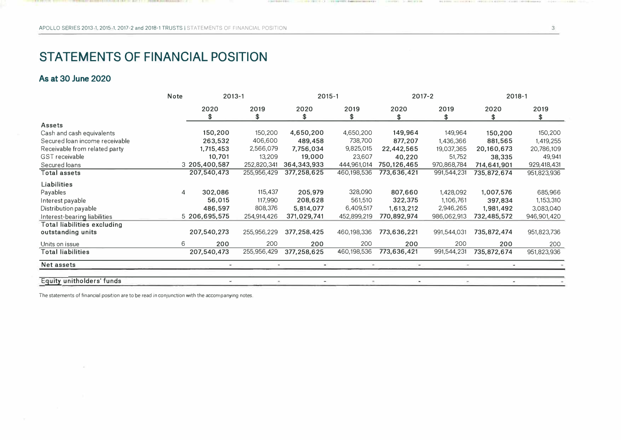## **STATEMENTS OF FINANCIAL POSITION**

### **As at 30 June 2020**

|                                    | Note | 2013-1        |             | $2015 - 1$  |             | 2017-2                       |             | $2018 - 1$     |             |  |
|------------------------------------|------|---------------|-------------|-------------|-------------|------------------------------|-------------|----------------|-------------|--|
|                                    |      | 2020<br>\$    | 2019<br>\$  | 2020<br>\$  | 2019<br>\$  | 2020<br>\$                   | 2019<br>\$  | 2020<br>\$     | 2019<br>\$  |  |
| Assets                             |      |               |             |             |             |                              |             |                |             |  |
| Cash and cash equivalents          |      | 150,200       | 150,200     | 4,650,200   | 4,650,200   | 149,964                      | 149,964     | 150,200        | 150,200     |  |
| Secured Ioan income receivable     |      | 263,532       | 406,600     | 489,458     | 738,700     | 877,207                      | 1,436,366   | 881,565        | 1,419,255   |  |
| Receivable from related party      |      | 1,715,453     | 2,566,079   | 7,756,034   | 9,825,015   | 22,442,565                   | 19,037,365  | 20,160,673     | 20,786,109  |  |
| GST receivable                     |      | 10,701        | 13,209      | 19,000      | 23,607      | 40,220                       | 51,752      | 38,335         | 49,941      |  |
| Secured loans                      |      | 3 205,400,587 | 252,820,341 | 364,343,933 | 444,961,014 | 750,126,465                  | 970,868,784 | 714,641,901    | 929,418,431 |  |
| Total assets                       |      | 207,540,473   | 255,956,429 | 377,258,625 | 460,198,536 | 773,636,421                  | 991,544,231 | 735,872,674    | 951,823,936 |  |
| Liabilities                        |      |               |             |             |             |                              |             |                |             |  |
| Payables                           | 4    | 302,086       | 115,437     | 205,979     | 328,090     | 807,660                      | 1,428,092   | 1,007,576      | 685,966     |  |
| Interest payable                   |      | 56,015        | 117,990     | 208,628     | 561,510     | 322,375                      | 1,106,761   | 397,834        | 1,153,310   |  |
| Distribution payable               |      | 486,597       | 808,376     | 5,814,077   | 6,409,517   | 1,613,212                    | 2,946,265   | 1,981,492      | 3,083,040   |  |
| Interest-bearing liabilities       |      | 5 206,695,575 | 254,914,426 | 371,029,741 | 452,899,219 | 770,892,974                  | 986,062,913 | 732,485,572    | 946,901,420 |  |
| <b>Total liabilities excluding</b> |      |               |             |             |             |                              |             |                |             |  |
| outstanding units                  |      | 207,540,273   | 255,956,229 | 377,258,425 | 460,198,336 | 773,636,221                  | 991,544,031 | 735,872,474    | 951,823,736 |  |
| Units on issue                     | 6    | 200           | 200         | 200         | 200         | 200                          | 200         | 200            | 200         |  |
| Total liabilities                  |      | 207,540,473   | 255,956,429 | 377,258,625 | 460,198,536 | 773,636,421                  | 991,544,231 | 735,872,674    | 951,823,936 |  |
| Net assets                         |      |               |             |             |             |                              |             |                |             |  |
| Equity unitholders' funds          |      | ÷             | $\,$        | ÷           | $\sim$      | $\qquad \qquad \blacksquare$ |             | $\overline{a}$ |             |  |

LE-2 2 3 3 4 5 6 6 7 1 1 - 10 40 8 10 9 10 11

.........

The statements of financial position are to be read in conjunction with the accompanying notes.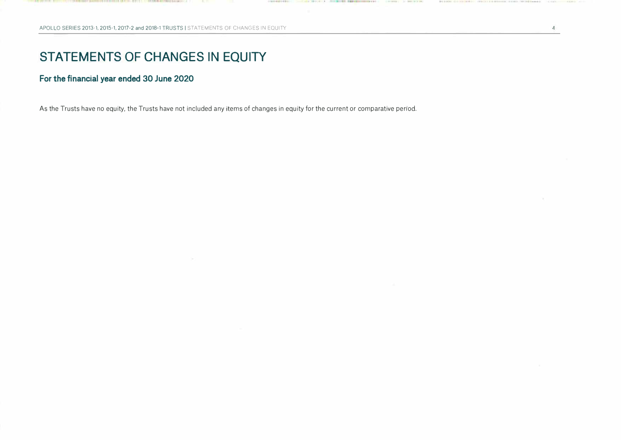## **STATEMENTS OF CHANGES IN EQUITY**

### **For the financial year ended 30 June 2020**

As the Trusts have no equity, the Trusts have not included any items of changes in equity for the current or comparative period.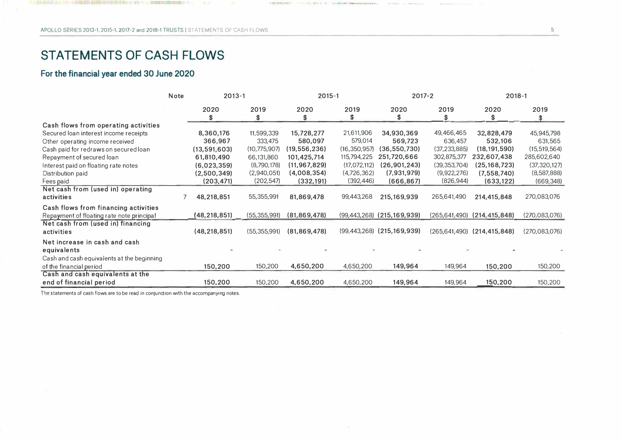## **STATEMENTS OF CASH FLOWS**

### **For the financial year ended 30 June 2020**

|                                            | <b>Note</b> | $2013 - 1$     |                | $2015 - 1$     |                | $2017 - 2$                         |                | $2018 - 1$                          |                 |  |
|--------------------------------------------|-------------|----------------|----------------|----------------|----------------|------------------------------------|----------------|-------------------------------------|-----------------|--|
|                                            |             | 2020<br>\$     | 2019<br>\$     | 2020<br>\$.    | 2019<br>\$     | 2020<br>\$                         | 2019<br>\$     | 2020<br>\$                          | 2019<br>\$      |  |
| Cash flows from operating activities       |             |                |                |                |                |                                    |                |                                     |                 |  |
| Secured loan interest income receipts      |             | 8,360,176      | 11,599,339     | 15,728,277     | 21,611,906     | 34,930,369                         | 49,466,465     | 32,828,479                          | 45,945,798      |  |
| Other operating income received            |             | 366,967        | 333,475        | 580,097        | 579,014        | 569,723                            | 636,457        | 532,106                             | 631,565         |  |
| Cash paid for redraws on secured loan      |             | (13,591,603)   | (10,775,907)   | (19,556,236)   | (16, 350, 957) | (36, 550, 730)                     | (37, 233, 885) | (18, 191, 590)                      | (15, 519, 564)  |  |
| Repayment of secured loan                  |             | 61,810,490     | 66,131,860     | 101,425,714    | 115,794,225    | 251,720,666                        | 302,875,377    | 232,607,438                         | 285,602,640     |  |
| Interest paid on floating rate notes       |             | (6,023,359)    | (8,790,178)    | (11, 967, 829) | (17,072,112)   | (26,901,243)                       | (39, 353, 704) | (25,168,723)                        | (37, 320, 127)  |  |
| Distribution paid                          |             | (2,500,349)    | (2,940,051)    | (4,008,354)    | (4,726,362)    | (7,931,979)                        | (9,922,276)    | (7,558,740)                         | (8,587,888)     |  |
| Fees paid                                  |             | (203, 471)     | (202, 547)     | (332, 191)     | (392, 446)     | (666, 867)                         | (826, 944)     | (633, 122)                          | (669, 348)      |  |
| Net cash from (used in) operating          |             |                |                |                |                |                                    |                |                                     |                 |  |
| activities                                 |             | 48,218,851     | 55,355,991     | 81,869,478     | 99,443,268     | 215,169,939                        | 265,641,490    | 214,415,848                         | 270,083,076     |  |
| Cash flows from financing activities       |             |                |                |                |                |                                    |                |                                     |                 |  |
| Repayment of floating rate note principal  |             | (48,218,851)   | (55, 355, 991) | (81, 869, 478) |                | $(99, 443, 268)$ $(215, 169, 939)$ |                | $(265, 641, 490)$ $(214, 415, 848)$ | (270,083,076)   |  |
| Net cash from (used in) financing          |             |                |                |                |                |                                    |                |                                     |                 |  |
| activities                                 |             | (48, 218, 851) | (55, 355, 991) | (81, 869, 478) |                | $(99, 443, 268)$ $(215, 169, 939)$ |                | $(265, 641, 490)$ $(214, 415, 848)$ | (270, 083, 076) |  |
| Net increase in cash and cash              |             |                |                |                |                |                                    |                |                                     |                 |  |
| equivalents                                |             |                |                |                |                |                                    |                |                                     |                 |  |
| Cash and cash equivalents at the beginning |             |                |                |                |                |                                    |                |                                     |                 |  |
| of the financial period                    |             | 150,200        | 150,200        | 4,650,200      | 4,650,200      | 149,964                            | 149,964        | 150,200                             | 150,200         |  |
| Cash and cash equivalents at the           |             |                |                |                |                |                                    |                |                                     |                 |  |
| end of financial period                    |             | 150,200        | 150,200        | 4,650,200      | 4,650,200      | 149,964                            | 149,964        | 150,200                             | 150,200         |  |

The statements of cash flows are to be read in conjunction with the accompanying notes.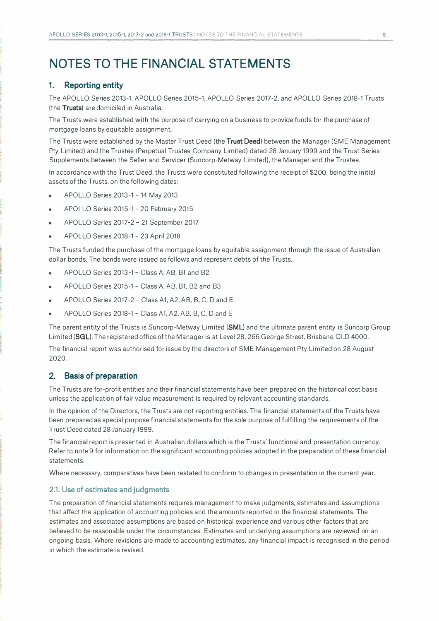## **NOTES TO THE FINANCIAL STATEMENTS**

#### **1. Reporting entity**

The APOLLO Series 2013-1, APOLLO Series 2015-1, APOLLO Series 2017-2, and APOLLO Series 2018-1 Trusts (the **Trusts)** are domiciled in Australia.

The Trusts were established with the purpose of carrying on a business to provide funds for the purchase of mortgage loans by equitable assignment.

The Trusts were established by the Master Trust Deed (the **Trust Deed)** between the Manager (SME Management Pty Limited) and the Trustee (Perpetual Trustee Company Limited) dated 28 January 1999 and the Trust Series Supplements between the Seller and Servicer (Suncorp-Metway Limited). the Manager and the Trustee.

In accordance with the Trust Deed, the Trusts were constituted following the receipt of \$200, being the initial assets of the Trusts, on the following dates:

- APOLLO Series 2013-1 14 May 2013
- APOLLO Series 2015-1 20 February 2015
- APOLLO Series 2017-2 21 September 2017
- APOLLO Series 2018-1 23 April 2018

The Trusts funded the purchase of the mortgage loans by equitable assignment through the issue of Australian dollar bonds. The bonds were issued as follows and represent debts of the Trusts.

- APOLLO Series 2013-1 Class A, AB, B1 and B2
- APOLLO Series 2015-1 Class A, AB, B1, B2 and B3
- APOLLO Series 2017-2 Class A1, A2, AB, B, C, D and E
- APOLLO Series 2018-1 Class A1, A2, AB, B, C, D and E

The parent entity of the Trusts is Suncorp-Metway Limited **(SMU** and the ultimate parent entity is Suncorp Group Limited **(SGL).** The registered office of the Manager is at Level 28,266 George Street, Brisbane QLD 4000.

The financial report was authorised for issue by the directors of SME Management Pty Limited on 28 August 2020.

#### **2. Basis of preparation**

The Trusts are for-profit entities and their financial statements have been prepared on the historical cost basis unless the application of fair value measurement is required by relevant accounting standards.

In the opinion of the Directors, the Trusts are not reporting entities. The financial statements of the Trusts have been prepared as special purpose financial statements for the sole purpose of fulfilling the requirements of the Trust Deed dated 28 January 1999.

The financial report is presented in Australian dollars which is the Trusts' functional and presentation currency. Refer to note 9 for information on the significant accounting policies adopted in the preparation of these financial statements.

Where necessary, comparatives have been restated to conform to changes in presentation in the current year.

#### **2.1. Use of estimates and judgments**

The preparation of financial statements requires management to make judgments, estimates and assumptions that affect the application of accounting policies and the amounts reported in the financial statements. The estimates and associated assumptions are based on historical experience and various other factors that are believed to be reasonable under the circumstances. Estimates and underlying assumptions are reviewed on an ongoing basis. Where revisions are made to accounting estimates, any financial impact is recognised in the period in which the estimate is revised.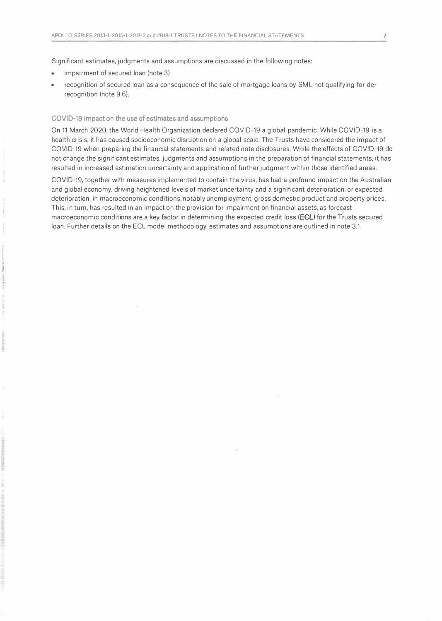Significant estimates, judgments and assumptions are discussed in the following notes:

impairment of secured loan (note 3)

**i**<br>international I. • recognition of secured loan as a consequence of the sale of mortgage loans by SML not qualifying for derecognition (note 9.6).

#### **COVID-19 impact on the use of estimates and assumptions**

On 11 March 2020, the World Health Organization declared COVID-19 a global pandemic. While COVIO-19 is a health crisis, it has caused socioeconomic disruption on a global scale. The Trusts have considered the impact of COVID-19 when preparing the financial statements and related note disclosures. While the effects of COVID-19 do not change the significant estimates, judgments and assumptions in the preparation of financial statements, it has resulted in increased estimation uncertainty and application of further judgment within those identified areas.

COVID-19, together with measures implemented to contain the virus, has had a profound impact on the Australian and global economy, driving heightened levels of market uncertainty and a significant deterioration, or expected deterioration, in macroeconomic conditions, notably unemployment, gross domestic product and property prices. This, in turn, has resulted in an impact on the provision for impairment on financial assets, as forecast macroeconomic conditions are a key factor in determining the expected credit loss **(ECL)** for the Trusts secured loan. Further details on the ECL model methodology, estimates and assumptions are outlined in note 3.1.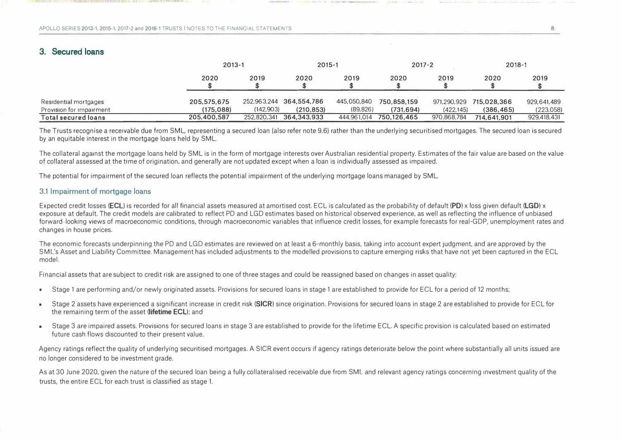**FRITR EDITARIATION ...** 

### **3. Secured loans**

|                          | $2013 - 1$  |             | 2015-1                  |             | $2017 - 2$  |             | $2018 - 1$  |             |
|--------------------------|-------------|-------------|-------------------------|-------------|-------------|-------------|-------------|-------------|
|                          | 2020        | 2019        | 2020                    | 2019        | 2020        | 2019        | 2020        | 2019        |
| Residential mortgages    | 205,575,675 |             | 252,963,244 364,554,786 | 445,050,840 | 750,858,159 | 971,290,929 | 715,028,366 | 929,641,489 |
| Provision for impairment | (175.088)   | (142.903)   | (210.853)               | (89, 826)   | (731.694)   | (422.145)   | (386.465)   | (223,058)   |
| Total secured loans      | 205,400,587 | 252,820,341 | 364,343,933             | 444,961,014 | 750.126.465 | 970,868,784 | 714.641.901 | 929,418,431 |

The Trusts recognise a receivable due from SML, representing a secured loan (also refer note 9.6) rather than the underlying securitised mortgages. The secured loan is secured by an equitable interest in the mortgage loans held by SML.

The collateral against the mortgage loans held by SML is in the form of mortgage interests over Australian residential property. Estimates of the fair value are based on the value of collateral assessed at the time of origination, and generally are not updated except when a loan is individually assessed as impaired.

The potential for impairment of the secured loan reflects the potential impairment of the underlying mortgage loans managed by SML.

#### **3.1 Impairment of mortgage loans**

Expected credit losses **(ECU** is recorded for all financial assets measured at amortised cost. ECL is calculated as the probability of default **(PD)** x loss given default **(LGD)** x exposure at default. The credit models are calibrated to reflect PD and LGD estimates based on historical observed experience, as well as reflecting the influence of unbiased forward-looking views of macroeconomic conditions, through macroeconomic variables that influence credit losses, for example forecasts for real-GDP, unemployment rates and changes in house prices.

The economic forecasts underpinning the PD and LGD estimates are reviewed on at least a 6-monthly basis, taking into account expert judgment. and are approved by the SM L's Asset and Liability Committee. Management has included adjustments to the modelled provisions to capture emerging risks that have not yet been captured in the ECL model.

Financial assets that are subject to credit risk are assigned to one of three stages and could be reassigned based on changes in asset quality:

- Stage 1 are performing and/or newly originated assets. Provisions for secured loans in stage 1 are established to provide for ECL for a period of 12 months;
- Stage 2 assets have experienced a significant increase in credit risk **(SICR)** since origination. Provisions for secured loans in stage 2 are established to provide for ECL for the remaining term of the asset **(lifetime ECL);** and
- Stage 3 are impaired assets. Provisions for secured loans in stage 3 are established to provide for the lifetime ECL. A specific provision is calculated based on estimated future cash flows discounted to their present value.

Agency ratings reflect the quality of underlying securitised mortgages. A SICR event occurs if agency ratings deteriorate below the point where substantially all units issued are no longer considered to be investment grade.

As at 30 June 2020, given the nature of the secured loan being a fully collateralised receivable due from SML and relevant agency ratings concerning investment quality of the trusts, the entire ECL for each trust is classified as stage 1.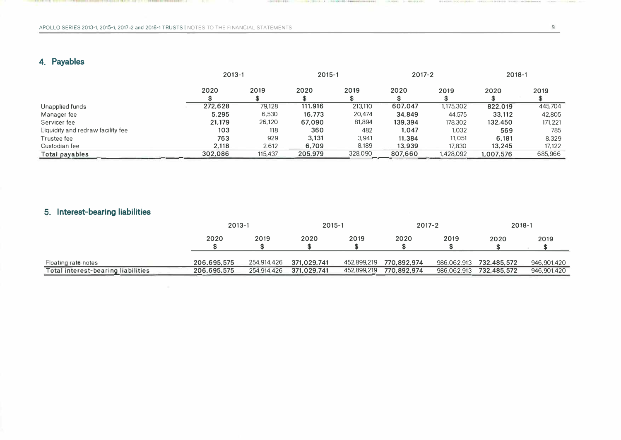**1999年12月1日 第4:40 1000 人名中美门尔尔尔 化二十二烷酸 新闻本能的复数形式生产者 伊斯特本语家 医中国的中国人的一种** 

## **4. Payables**

|                                   |         | $2013 - 1$ |         | 2015-1  |         | 2017-2    |           | 2018-1  |
|-----------------------------------|---------|------------|---------|---------|---------|-----------|-----------|---------|
|                                   | 2020    | 2019       | 2020    | 2019    | 2020    | 2019      | 2020      | 2019    |
| Unapplied funds                   | 272,628 | 79.128     | 111,916 | 213.110 | 607,047 | 1,175,302 | 822,019   | 445,704 |
| Manager fee                       | 5.295   | 6,530      | 16,773  | 20,474  | 34,849  | 44,575    | 33.112    | 42,805  |
| Servicer fee                      | 21,179  | 26,120     | 67,090  | 81,894  | 139,394 | 178,302   | 132,450   | 171,221 |
| Liquidity and redraw facility fee | 103     | 118        | 360     | 482     | 1,047   | 1,032     | 569       | 785     |
| Trustee fee                       | 763     | 929        | 3,131   | 3.941   | 11,384  | 11,051    | 6,181     | 8,329   |
| Custodian fee                     | 2,118   | 2.612      | 6.709   | 8,189   | 13,939  | 17,830    | 13,245    | 17,122  |
| Total payables                    | 302,086 | 115,437    | 205,979 | 328,090 | 807,660 | 1,428,092 | 1,007,576 | 685,966 |

-------------

THE R. P. LEWIS CO., LANSING, MICH. 49-14039-1-120-2

THE R. P. LEWIS CO., LANSING MICH.

## **5. Interest-bearing liabilities**

|                                    |             | $2013 - 1$  |             | 2015-1      |             | $2017 - 2$  |             | 2018-1      |  |
|------------------------------------|-------------|-------------|-------------|-------------|-------------|-------------|-------------|-------------|--|
|                                    | 2020        | 2019        | 2020        | 2019        | 2020        | 2019        | 2020        | 2019        |  |
| Floating rate notes                | 206,695,575 | 254,914,426 | 371.029,741 | 452,899,219 | 770.892.974 | 986.062.913 | 732,485,572 | 946.901.420 |  |
| Total interest-bearing liabilities | 206,695,575 | 254,914,426 | 371,029,741 | 452,899,219 | 770,892,974 | 986,062,913 | 732,485,572 | 946,901,420 |  |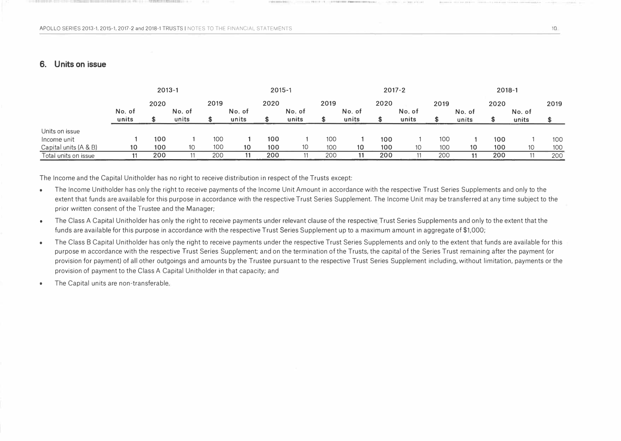,.,

#### **6. Units on issue**

|                       | $2013 - 1$   |     |        |     | $2015 - 1$ |              |        | $2017 - 2$ |        |     |        |              | $2018 - 1$ |     |        |      |
|-----------------------|--------------|-----|--------|-----|------------|--------------|--------|------------|--------|-----|--------|--------------|------------|-----|--------|------|
|                       | 2020<br>2019 |     |        |     |            | 2020<br>2019 |        |            | 2020   |     |        | 2019<br>2020 |            |     |        | 2019 |
|                       | No. of       |     | No. of |     | No. of     |              | No. of |            | No. of |     | No. of |              | No. of     |     | No. of |      |
|                       | units        |     | units  |     | units      |              | units  |            | units  |     | units  |              | units      |     | units  |      |
| Units on issue        |              |     |        |     |            |              |        |            |        |     |        |              |            |     |        |      |
| Income unit           |              | 100 |        | 100 |            | 100          |        | 100        |        | 100 |        | 100          |            | 100 |        | 100  |
| Capital units (A & B) | 10           | 100 | 10     | 100 | 10         | 100          | 10     | 100        | 10     | 100 | 10     | 100          | 10         | 100 | 10     | 100  |
| Total units on issue  |              | 200 |        | 200 |            | 200          |        | 200        |        | 200 |        | 200          |            | 200 |        | 200  |

The Income and the Capital Unitholder has no right to receive distribution in respect of the Trusts except:

- The Income Unitholder has only the right to receive payments of the Income Unit Amount in accordance with the respective Trust Series Supplements and only to the extent that funds are available for this purpose in accordance with the respective Trust Series Supplement. The Income Unit may be transferred at any time subject to the prior written consent of the Trustee and the Manager;
- The Class A Capital Unitholder has only the right to receive payments under relevant clause of the respective Trust Series Supplements and only to the extent that the funds are available for this purpose in accordance with the respective Trust Series Supplement up to a maximum amount in aggregate of \$1,000;
- The Class B Capital Unitholder has only the right to receive payments under the respective Trust Series Supplements and only to the extent that funds are available for this purpose in accordance with the respective Trust Series Supplement; and on the termination of the Trusts, the capital of the Series Trust remaining after the payment (or provision for payment) of all other outgoings and amounts by the Trustee pursuant to the respective Trust Series Supplement including, without limitation, payments or the provision of payment to the Class A Capital Unitholder in that capacity; and
- The Capital units are non-transferable.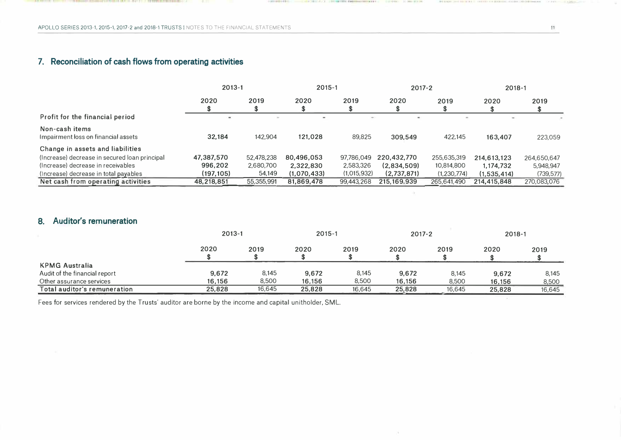## **7. Reconciliation of cash flows from operating activities**

|                                                       | $2013 - 1$    |            | $2015 - 1$               |             | $2017 - 2$                   |             | $2018 - 1$  |             |
|-------------------------------------------------------|---------------|------------|--------------------------|-------------|------------------------------|-------------|-------------|-------------|
|                                                       | 2020          | 2019       | 2020                     | 2019<br>S   | 2020                         | 2019        | 2020        | 2019        |
| Profit for the financial period                       | $\rightarrow$ |            | $\overline{\phantom{a}}$ | $\sim$      | $\qquad \qquad \blacksquare$ |             | ÷           |             |
| Non-cash items<br>Impairment loss on financial assets | 32,184        | 142,904    | 121,028                  | 89,825      | 309.549                      | 422,145     | 163,407     | 223,059     |
| Change in assets and liabilities                      |               |            |                          |             |                              |             |             |             |
| (Increase) decrease in secured loan principal         | 47,387,570    | 52,478,238 | 80,496,053               | 97,786,049  | 220,432,770                  | 255,635,319 | 214,613,123 | 264,650,647 |
| (Increase) decrease in receivables                    | 996,202       | 2,680,700  | 2,322,830                | 2,583,326   | (2,834,509)                  | 10,814,800  | 1,174,732   | 5,948,947   |
| (Increase) decrease in total payables                 | (197,105)     | 54,149     | (1,070,433)              | (1,015,932) | (2,737,871)                  | (1,230,774) | (1.535.414) | (739, 577)  |
| Net cash from operating activities                    | 48,218,851    | 55,355,991 | 81,869,478               | 99,443,268  | 215, 169, 939                | 265,641,490 | 214,415,848 | 270,083,076 |

or in

### **8. Auditor's remuneration**

|                               | $2013 - 1$ |        | $2015 - 1$ |        | $2017 - 2$ |        | $2018 - 1$ |        |
|-------------------------------|------------|--------|------------|--------|------------|--------|------------|--------|
|                               | 2020       | 2019   | 2020       | 2019   | 2020       | 2019   | 2020       | 2019   |
| <b>KPMG Australia</b>         |            |        |            |        |            |        |            |        |
| Audit of the financial report | 9,672      | 8,145  | 9,672      | 8,145  | 9,672      | 8,145  | 9.672      | 8,145  |
| Other assurance services      | 16,156     | 8,500  | 16,156     | 8,500  | 16.156     | 8,500  | 16,156     | 8,500  |
| Total auditor's remuneration  | 25,828     | 16,645 | 25,828     | 16,645 | 25,828     | 16,645 | 25,828     | 16,645 |

Fees for services rendered by the Trusts' auditor are borne by the income and capital unitholder, SML.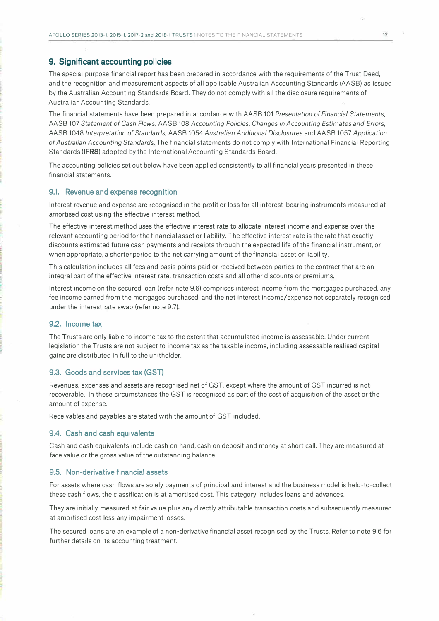#### **9. Significant accounting policies**

The special purpose financial report has been prepared in accordance with the requirements of the Trust Deed, and the recognition and measurement aspects of all applicable Australian Accounting Standards (AASB) as issued by the Australian Accounting Standards Board. They do not comply with all the disclosure requirements of Australian Accounting Standards.

The financial statements have been prepared in accordance with AASB 101 *Presentation of Financial Statements,*  AASB 107 *Statement of Cash Flows,* AASB 108 *Accounting Policies, Changes in Accounting Estimates and Errors,*  AASB 1048 *Interpretation of Standards,* AASB 1054 *Australian Additional Disclosures* and AASB 1057 *Application of Australian Accounting Standards.* The financial statements do not comply with International Financial Reporting Standards **(IFRS)** adopted by the International Accounting Standards Board.

The accounting policies set out below have been applied consistently to all financial years presented in these financial statements.

#### **9.1. Revenue and expense recognition**

Interest revenue and expense are recognised in the profit or loss for all interest-bearing instruments measured at amortised cost using the effective interest method.

The effective interest method uses the effective interest rate to allocate interest income and expense over the relevant accounting period for the financial asset or liability. The effective interest rate is the rate that exactly discounts estimated future cash payments and receipts through the expected life of the financial instrument, or when appropriate, a shorter period to the net carrying amount of the financial asset or liability.

This calculation includes all fees and basis points paid or received between parties to the contract that are an integral part of the effective interest rate, transaction costs and all other discounts or premiums.

Interest income on the secured loan (refer note 9.6) comprises interest income from the mortgages purchased, any fee income earned from the mortgages purchased, and the net interest income/expense not separately recognised under the interest rate swap (refer note 9.7).

#### **9.2. Income tax**

The Trusts are only liable to income tax to the extent that accumulated income is assessable. Under current legislation the Trusts are not subject to income tax as the taxable income, including assessable realised capital gains are distributed in full to the unitholder.

#### **9.3. Goods and services tax (GST)**

Revenues, expenses and assets are recognised net of GST, except where the amount of GST incurred is not recoverable. In these circumstances the GST is recognised as part of the cost of acquisition of the asset or the amount of expense.

Receivables and payables are stated with the amount of GST included.

#### **9.4. Cash and cash equivalents**

Cash and cash equivalents include cash on hand, cash on deposit and money at short call. They are measured at face value or the gross value of the outstanding balance.

#### **9.5. Non-derivative financial assets**

For assets where cash flows are solely payments of principal and interest and the business model is held-to-collect these cash flows, the classification is at amortised cost. This category includes loans and advances.

They are initially measured at fair value plus any directly attributable transaction costs and subsequently measured at amortised cost less any impairment losses.

The secured loans are an example of a non-derivative financial asset recognised by the Trusts. Refer to note 9.6 for further details on its accounting treatment.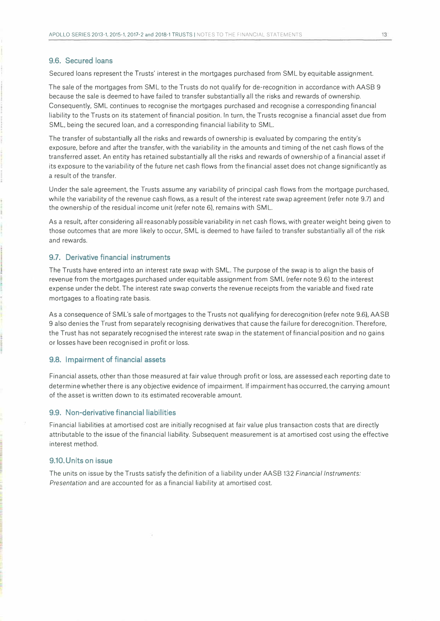#### **9.6. Secured loans**

Secured loans represent the Trusts' interest in the mortgages purchased from SML by equitable assignment.

The sale of the mortgages from SML to the Trusts do not qualify for de-recognition in accordance with AASB 9 because the sale is deemed to have failed to transfer substantially all the risks and rewards of ownership. Consequently, SML continues to recognise the mortgages purchased and recognise a corresponding financial liability to the Trusts on its statement of financial position. In turn, the Trusts recognise a financial asset due from SML, being the secured loan, and a corresponding financial liability to SML.

The transfer of substantially all the risks and rewards of ownership is evaluated by comparing the entity's exposure, before and after the transfer, with the variability in the amounts and timing of the net cash flows of the transferred asset. An entity has retained substantially all the risks and rewards of ownership of a financial asset if its exposure to the variability of the future net cash flows from the financial asset does not change significantly as a result of the transfer.

Under the sale agreement, the Trusts assume any variability of principal cash flows from the mortgage purchased, while the variability of the revenue cash flows, as a result of the interest rate swap agreement (refer note 9.7) and the ownership of the residual income unit (refer note 6), remains with SML.

As a result, after considering all reasonably possible variability in net cash flows, with greater weight being given to those outcomes that are more likely to occur, SM L is deemed to have failed to transfer substantially all of the risk and rewards.

#### **9.7. Derivative financial instruments**

The Trusts have entered into an interest rate swap with SML. The purpose of the swap is to align the basis of revenue from the mortgages purchased under equitable assignment from SML (refer note 9.6) to the interest expense under the debt. The interest rate swap converts the revenue receipts from the variable and fixed rate mortgages to a floating rate basis.

As a consequence of SML's sale of mortgages to the Trusts not qualifying for derecognition (refer note 9.6), AASB 9 also denies the Trust from separately recognising derivatives that cause the failure for derecognition. Therefore, the Trust has not separately recognised the interest rate swap in the statement of financial position and no gains or losses have been recognised in profit or loss.

#### **9.8. Impairment of financial assets**

Financial assets, other than those measured at fair value through profit or loss, are assessed each reporting date to determine whether there is any objective evidence of impairment. If impairment has occurred, the carrying amount of the asset is written down to its estimated recoverable amount.

#### **9.9. Non-derivative financial liabilities**

Financial liabilities at amortised cost are initially recognised at fair value plus transaction costs that are directly attributable to the issue of the financial liability. Subsequent measurement is at amortised cost using the effective interest method.

#### **9.10. Units on issue**

The units on issue by the Trusts satisfy the definition of a liability under AASB 132 *Financial Instruments: Presentation* and are accounted for as a financial liability at amortised cost.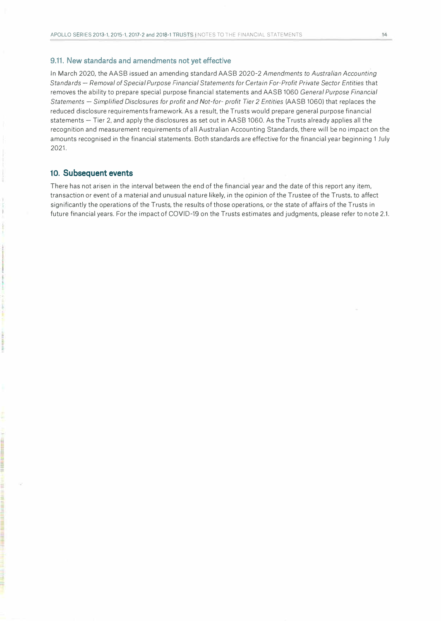#### **9.11. New standards and amendments not yet effective**

In March 2020, the AASB issued an amending standard AASB 2020-2 *Amendments to Australian Accounting Standards* - *Removal of Special Purpose Financial Statements for Certain For-Profit Private Sector Entities* that removes the ability to prepare special purpose financial statements and AASB 1060 *General Purpose Financial Statements* - *Simplified Disclosures for profit and Not-for- profit Tier 2 Entities* (AASB 1060) that replaces the reduced disclosure requirements framework. As a result, the Trusts would prepare general purpose financial statements - Tier 2, and apply the disclosures as set out in AASB 1060. As the Trusts already applies all the recognition and measurement requirements of all Australian Accounting Standards, there will be no impact on the amounts recognised in the financial statements. Both standards are effective for the financial year beginning 1 July 2021.

#### **10. Subsequent events**

There has not arisen in the interval between the end of the financial year and the date of this report any item, transaction or event of a material and unusual nature likely, in the opinion of the Trustee of the Trusts, to affect significantly the operations of the Trusts, the results of those operations, or the state of affairs of the Trusts in future financial years. For the impact of COVID-19 on the Trusts estimates and judgments, please refer to note 2.1.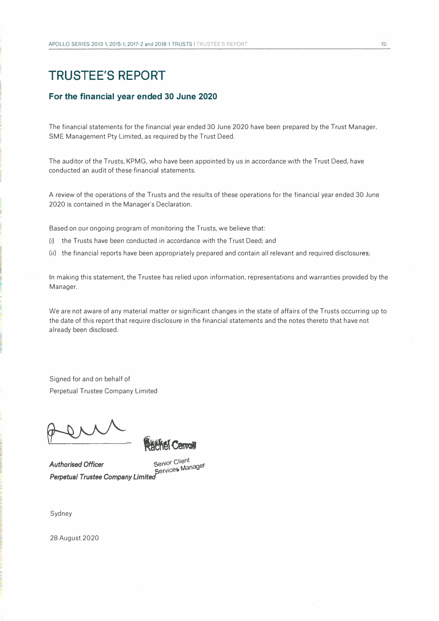## **TRUSTEE'S REPORT**

#### **For the financial year ended 30 June 2020**

The financial statements for the financial year ended 30 June 2020 have been prepared by the Trust Manager, SME Management Pty Limited, as required by the Trust Deed.

The auditor of the Trusts, KPMG, who have been appointed by us in accordance with the Trust Deed, have conducted an audit of these financial statements.

A review of the operations of the Trusts and the results of these operations for the financial year ended 30 June 2020 is contained in the Manager's Declaration.

Based on our ongoing program of monitoring the Trusts, we believe that:

(i) the Trusts have been conducted in accordance with the Trust Deed; and

**Kel Carroll** 

(ii) the financial reports have been appropriately prepared and contain all relevant and required disclosures.

In making this statement, the Trustee has relied upon information, representations and warranties provided by the Manager.

We are not aware of any material matter or significant changes in the state of affairs of the Trusts occurring up to the date of this report that require disclosure in the financial statements and the notes thereto that have not already been disclosed.

Signed for and on behalf of Perpetual Trustee Company Limited

*Authorised Officer senior Cli* Senior Client<br>Service**s** Manager *Perpetual Trustee Campany Limited* 

Sydney

28 August 2020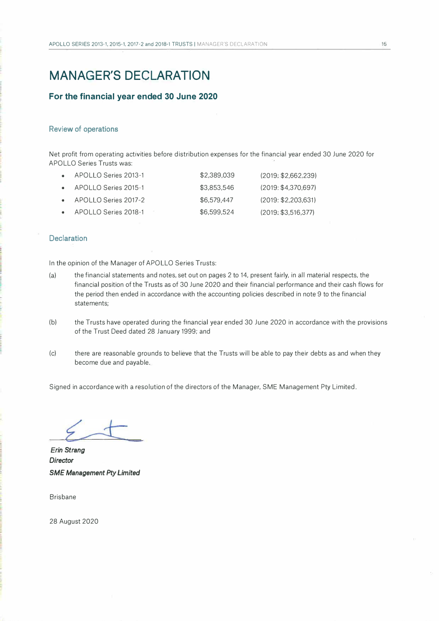## **MANAGER'S DECLARATION**

#### **For the financial year ended 30 June 2020**

#### **Review of operations**

Net profit from operating activities before distribution expenses for the financial year ended 30 June 2020 for APOLLO Series Trusts was:

| APOLLO Series 2013-1           | \$2,389.039 | (2019: \$2.662.239) |
|--------------------------------|-------------|---------------------|
| $\bullet$ APOLLO Series 2015-1 | \$3.853.546 | (2019: \$4.370.697) |
| $\bullet$ APOLLO Series 2017-2 | \$6.579.447 | (2019: \$2.203.631) |
| APOLLO Series 2018-1           | \$6,599,524 | (2019: \$3.516.377) |

#### **Declaration**

In the opinion of the Manager of APOLLO Series Trusts:

- (a) the financial statements and notes, set out on pages 2 to 14, present fairly, in all material respects, the financial position of the Trusts as of 30 June 2020 and their financial performance and their cash flows for the period then ended in accordance with the accounting policies described in note 9 to the financial statements;
- (b) the Trusts have operated during the financial year ended 30 June 2020 in accordance with the provisions of the Trust Deed dated 28 January 1999; and
- (c) there are reasonable grounds to believe that the Trusts will be able to pay their debts as and when they become due and payable.

Signed in accordance with a resolution of the directors of the Manager, SME Management Pty Limited.

*Director SM£ Management Pty Limited Erin Strang*

Brisbane

28 August 2020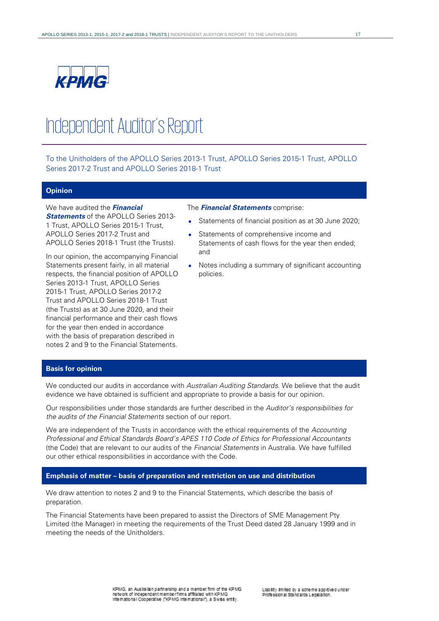

# Independent Auditor's Report

To the Unitholders of the APOLLO Series 2013-1 Trust, APOLLO Series 2015-1 Trust, APOLLO Series 2017-2 Trust and APOLLO Series 2018-1 Trust

#### **Opinion**

#### We have audited the **Financial**

**Statements** of the APOLLO Series 2013- 1 Trust, APOLLO Series 2015-1 Trust, APOLLO Series 2017-2 Trust and APOLLO Series 2018-1 Trust (the Trusts).

In our opinion, the accompanying Financial Statements present fairly, in all material respects, the financial position of APOLLO Series 2013-1 Trust, APOLLO Series 2015-1 Trust, APOLLO Series 2017-2 Trust and APOLLO Series 2018-1 Trust (the Trusts) as at 30 June 2020, and their financial performance and their cash flows for the year then ended in accordance with the basis of preparation described in notes 2 and 9 to the Financial Statements.

#### The **Financial Statements** comprise:

- Statements of financial position as at 30 June 2020;
- Statements of comprehensive income and Statements of cash flows for the year then ended; and
- Notes including a summary of significant accounting policies.

#### **Basis for opinion**

We conducted our audits in accordance with Australian Auditing Standards. We believe that the audit evidence we have obtained is sufficient and appropriate to provide a basis for our opinion.

Our responsibilities under those standards are further described in the Auditor's responsibilities for the audits of the Financial Statements section of our report.

We are independent of the Trusts in accordance with the ethical requirements of the Accounting Professional and Ethical Standards Board's APES 110 Code of Ethics for Professional Accountants (the Code) that are relevant to our audits of the Financial Statements in Australia. We have fulfilled our other ethical responsibilities in accordance with the Code.

#### **Emphasis of matter – basis of preparation and restriction on use and distribution**

We draw attention to notes 2 and 9 to the Financial Statements, which describe the basis of preparation.

The Financial Statements have been prepared to assist the Directors of SME Management Pty Limited (the Manager) in meeting the requirements of the Trust Deed dated 28 January 1999 and in meeting the needs of the Unitholders.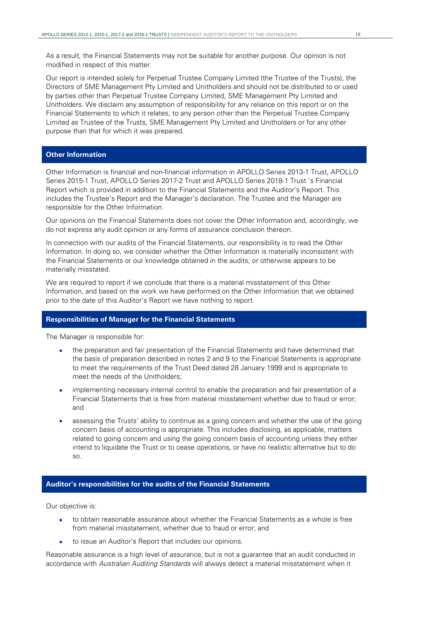As a result, the Financial Statements may not be suitable for another purpose. Our opinion is not modified in respect of this matter.

Our report is intended solely for Perpetual Trustee Company Limited (the Trustee of the Trusts), the Directors of SME Management Pty Limited and Unitholders and should not be distributed to or used by parties other than Perpetual Trustee Company Limited, SME Management Pty Limited and Unitholders. We disclaim any assumption of responsibility for any reliance on this report or on the Financial Statements to which it relates, to any person other than the Perpetual Trustee Company Limited as Trustee of the Trusts, SME Management Pty Limited and Unitholders or for any other purpose than that for which it was prepared.

#### **Other Information**

Other Information is financial and non-financial information in APOLLO Series 2013-1 Trust, APOLLO Series 2015-1 Trust, APOLLO Series 2017-2 Trust and APOLLO Series 2018-1 Trust 's Financial Report which is provided in addition to the Financial Statements and the Auditor's Report. This includes the Trustee's Report and the Manager's declaration. The Trustee and the Manager are responsible for the Other Information.

Our opinions on the Financial Statements does not cover the Other Information and, accordingly, we do not express any audit opinion or any forms of assurance conclusion thereon.

In connection with our audits of the Financial Statements, our responsibility is to read the Other Information. In doing so, we consider whether the Other Information is materially inconsistent with the Financial Statements or our knowledge obtained in the audits, or otherwise appears to be materially misstated.

We are required to report if we conclude that there is a material misstatement of this Other Information, and based on the work we have performed on the Other Information that we obtained prior to the date of this Auditor's Report we have nothing to report.

#### **Responsibilities of Manager for the Financial Statements**

The Manager is responsible for:

- the preparation and fair presentation of the Financial Statements and have determined that the basis of preparation described in notes 2 and 9 to the Financial Statements is appropriate to meet the requirements of the Trust Deed dated 28 January 1999 and is appropriate to meet the needs of the Unitholders;
- implementing necessary internal control to enable the preparation and fair presentation of a Financial Statements that is free from material misstatement whether due to fraud or error; and
- assessing the Trusts' ability to continue as a going concern and whether the use of the going concern basis of accounting is appropriate. This includes disclosing, as applicable, matters related to going concern and using the going concern basis of accounting unless they either intend to liquidate the Trust or to cease operations, or have no realistic alternative but to do so.

#### **Auditor's responsibilities for the audits of the Financial Statements**

Our objective is:

- to obtain reasonable assurance about whether the Financial Statements as a whole is free from material misstatement, whether due to fraud or error; and
- to issue an Auditor's Report that includes our opinions.

Reasonable assurance is a high level of assurance, but is not a guarantee that an audit conducted in accordance with Australian Auditing Standards will always detect a material misstatement when it